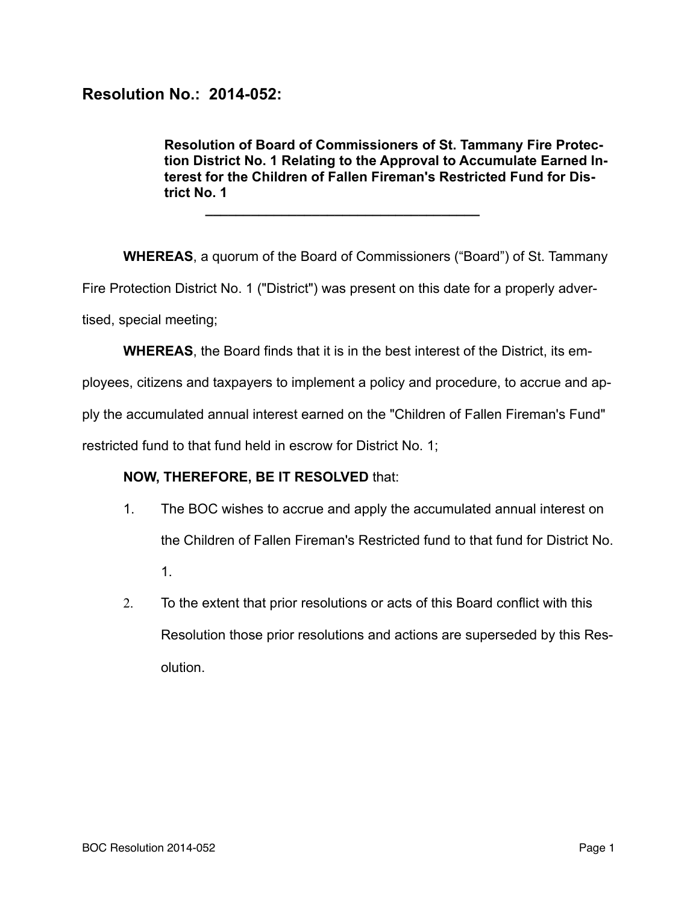## **Resolution No.: 2014-052:**

**Resolution of Board of Commissioners of St. Tammany Fire Protection District No. 1 Relating to the Approval to Accumulate Earned Interest for the Children of Fallen Fireman's Restricted Fund for District No. 1** 

**WHEREAS**, a quorum of the Board of Commissioners ("Board") of St. Tammany Fire Protection District No. 1 ("District") was present on this date for a properly advertised, special meeting;

**WHEREAS**, the Board finds that it is in the best interest of the District, its em-

ployees, citizens and taxpayers to implement a policy and procedure, to accrue and ap-

ply the accumulated annual interest earned on the "Children of Fallen Fireman's Fund"

restricted fund to that fund held in escrow for District No. 1;

**\_\_\_\_\_\_\_\_\_\_\_\_\_\_\_\_\_\_\_\_\_\_\_\_\_\_\_\_\_\_\_\_\_\_\_\_** 

## **NOW, THEREFORE, BE IT RESOLVED** that:

- 1. The BOC wishes to accrue and apply the accumulated annual interest on the Children of Fallen Fireman's Restricted fund to that fund for District No. 1.
- 2. To the extent that prior resolutions or acts of this Board conflict with this Resolution those prior resolutions and actions are superseded by this Resolution.